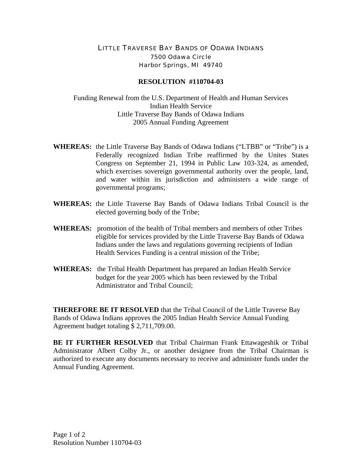## LITTLE TRAVERSE BAY BANDS OF ODAWA INDIANS 7500 Odawa Circle Harbor Springs, MI 49740

## **RESOLUTION #110704-03**

Funding Renewal from the U.S. Department of Health and Human Services Indian Health Service Little Traverse Bay Bands of Odawa Indians 2005 Annual Funding Agreement

- **WHEREAS:** the Little Traverse Bay Bands of Odawa Indians ("LTBB" or "Tribe") is a Federally recognized Indian Tribe reaffirmed by the Unites States Congress on September 21, 1994 in Public Law 103-324, as amended, which exercises sovereign governmental authority over the people, land, and water within its jurisdiction and administers a wide range of governmental programs;
- **WHEREAS:** the Little Traverse Bay Bands of Odawa Indians Tribal Council is the elected governing body of the Tribe;
- **WHEREAS:** promotion of the health of Tribal members and members of other Tribes eligible for services provided by the Little Traverse Bay Bands of Odawa Indians under the laws and regulations governing recipients of Indian Health Services Funding is a central mission of the Tribe;
- **WHEREAS:** the Tribal Health Department has prepared an Indian Health Service budget for the year 2005 which has been reviewed by the Tribal Administrator and Tribal Council;

**THEREFORE BE IT RESOLVED** that the Tribal Council of the Little Traverse Bay Bands of Odawa Indians approves the 2005 Indian Health Service Annual Funding Agreement budget totaling \$ 2,711,709.00.

**BE IT FURTHER RESOLVED** that Tribal Chairman Frank Ettawageshik or Tribal Administrator Albert Colby Jr., or another designee from the Tribal Chairman is authorized to execute any documents necessary to receive and administer funds under the Annual Funding Agreement.